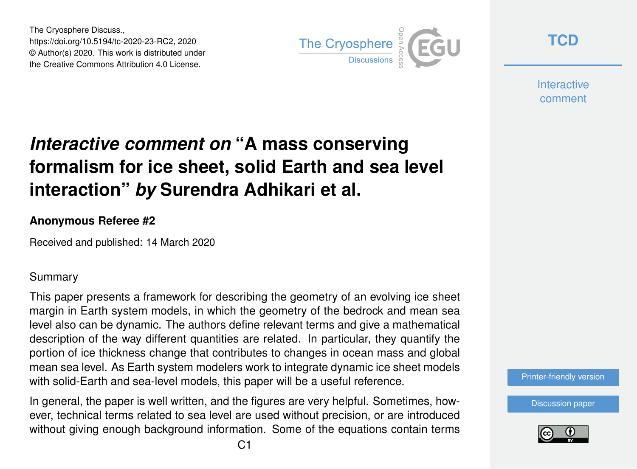The Cryosphere Discuss., https://doi.org/10.5194/tc-2020-23-RC2, 2020 © Author(s) 2020. This work is distributed under the Creative Commons Attribution 4.0 License.



**[TCD](https://www.the-cryosphere-discuss.net/)**

**Interactive** comment

# *Interactive comment on* **"A mass conserving formalism for ice sheet, solid Earth and sea level interaction"** *by* **Surendra Adhikari et al.**

#### **Anonymous Referee #2**

Received and published: 14 March 2020

### Summary

This paper presents a framework for describing the geometry of an evolving ice sheet margin in Earth system models, in which the geometry of the bedrock and mean sea level also can be dynamic. The authors define relevant terms and give a mathematical description of the way different quantities are related. In particular, they quantify the portion of ice thickness change that contributes to changes in ocean mass and global mean sea level. As Earth system modelers work to integrate dynamic ice sheet models with solid-Earth and sea-level models, this paper will be a useful reference.

In general, the paper is well written, and the figures are very helpful. Sometimes, however, technical terms related to sea level are used without precision, or are introduced without giving enough background information. Some of the equations contain terms



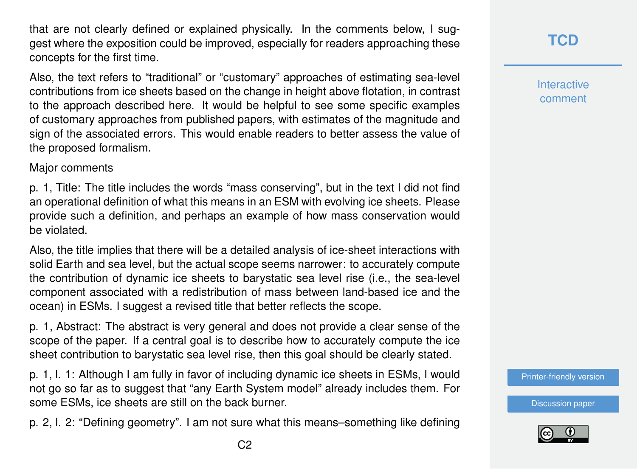that are not clearly defined or explained physically. In the comments below, I suggest where the exposition could be improved, especially for readers approaching these concepts for the first time.

Also, the text refers to "traditional" or "customary" approaches of estimating sea-level contributions from ice sheets based on the change in height above flotation, in contrast to the approach described here. It would be helpful to see some specific examples of customary approaches from published papers, with estimates of the magnitude and sign of the associated errors. This would enable readers to better assess the value of the proposed formalism.

#### Major comments

p. 1, Title: The title includes the words "mass conserving", but in the text I did not find an operational definition of what this means in an ESM with evolving ice sheets. Please provide such a definition, and perhaps an example of how mass conservation would be violated.

Also, the title implies that there will be a detailed analysis of ice-sheet interactions with solid Earth and sea level, but the actual scope seems narrower: to accurately compute the contribution of dynamic ice sheets to barystatic sea level rise (i.e., the sea-level component associated with a redistribution of mass between land-based ice and the ocean) in ESMs. I suggest a revised title that better reflects the scope.

p. 1, Abstract: The abstract is very general and does not provide a clear sense of the scope of the paper. If a central goal is to describe how to accurately compute the ice sheet contribution to barystatic sea level rise, then this goal should be clearly stated.

p. 1, l. 1: Although I am fully in favor of including dynamic ice sheets in ESMs, I would not go so far as to suggest that "any Earth System model" already includes them. For some ESMs, ice sheets are still on the back burner.

p. 2, l. 2: "Defining geometry". I am not sure what this means–something like defining

**Interactive** comment

[Printer-friendly version](https://www.the-cryosphere-discuss.net/tc-2020-23/tc-2020-23-RC2-print.pdf)

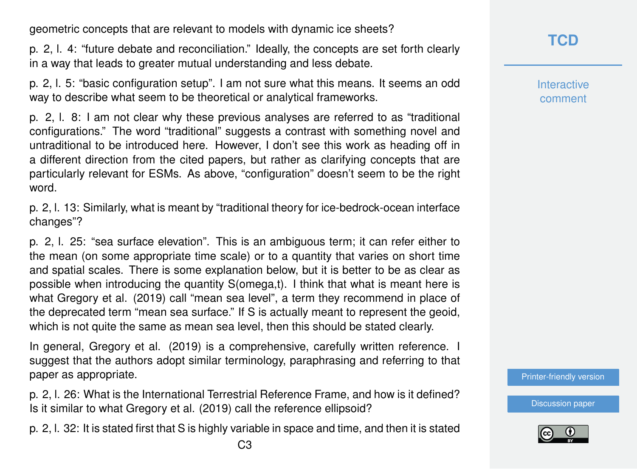geometric concepts that are relevant to models with dynamic ice sheets?

p. 2, l. 4: "future debate and reconciliation." Ideally, the concepts are set forth clearly in a way that leads to greater mutual understanding and less debate.

p. 2, l. 5: "basic configuration setup". I am not sure what this means. It seems an odd way to describe what seem to be theoretical or analytical frameworks.

p. 2, l. 8: I am not clear why these previous analyses are referred to as "traditional configurations." The word "traditional" suggests a contrast with something novel and untraditional to be introduced here. However, I don't see this work as heading off in a different direction from the cited papers, but rather as clarifying concepts that are particularly relevant for ESMs. As above, "configuration" doesn't seem to be the right word.

p. 2, l. 13: Similarly, what is meant by "traditional theory for ice-bedrock-ocean interface changes"?

p. 2, l. 25: "sea surface elevation". This is an ambiguous term; it can refer either to the mean (on some appropriate time scale) or to a quantity that varies on short time and spatial scales. There is some explanation below, but it is better to be as clear as possible when introducing the quantity S(omega,t). I think that what is meant here is what Gregory et al. (2019) call "mean sea level", a term they recommend in place of the deprecated term "mean sea surface." If S is actually meant to represent the geoid, which is not quite the same as mean sea level, then this should be stated clearly.

In general, Gregory et al. (2019) is a comprehensive, carefully written reference. I suggest that the authors adopt similar terminology, paraphrasing and referring to that paper as appropriate.

p. 2, l. 26: What is the International Terrestrial Reference Frame, and how is it defined? Is it similar to what Gregory et al. (2019) call the reference ellipsoid?

p. 2, l. 32: It is stated first that S is highly variable in space and time, and then it is stated

**Interactive** comment

[Printer-friendly version](https://www.the-cryosphere-discuss.net/tc-2020-23/tc-2020-23-RC2-print.pdf)

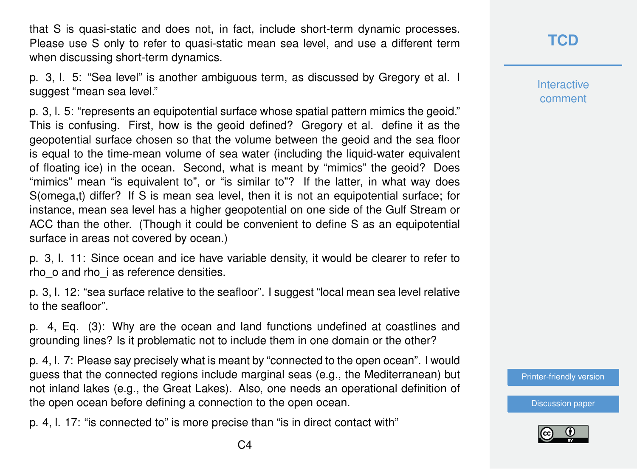that S is quasi-static and does not, in fact, include short-term dynamic processes. Please use S only to refer to quasi-static mean sea level, and use a different term when discussing short-term dynamics.

p. 3, l. 5: "Sea level" is another ambiguous term, as discussed by Gregory et al. I suggest "mean sea level."

p. 3, l. 5: "represents an equipotential surface whose spatial pattern mimics the geoid." This is confusing. First, how is the geoid defined? Gregory et al. define it as the geopotential surface chosen so that the volume between the geoid and the sea floor is equal to the time-mean volume of sea water (including the liquid-water equivalent of floating ice) in the ocean. Second, what is meant by "mimics" the geoid? Does "mimics" mean "is equivalent to", or "is similar to"? If the latter, in what way does S(omega,t) differ? If S is mean sea level, then it is not an equipotential surface; for instance, mean sea level has a higher geopotential on one side of the Gulf Stream or ACC than the other. (Though it could be convenient to define S as an equipotential surface in areas not covered by ocean.)

p. 3, l. 11: Since ocean and ice have variable density, it would be clearer to refer to rho\_o and rho\_i as reference densities.

p. 3, l. 12: "sea surface relative to the seafloor". I suggest "local mean sea level relative to the seafloor".

p. 4, Eq. (3): Why are the ocean and land functions undefined at coastlines and grounding lines? Is it problematic not to include them in one domain or the other?

p. 4, l. 7: Please say precisely what is meant by "connected to the open ocean". I would guess that the connected regions include marginal seas (e.g., the Mediterranean) but not inland lakes (e.g., the Great Lakes). Also, one needs an operational definition of the open ocean before defining a connection to the open ocean.

p. 4, l. 17: "is connected to" is more precise than "is in direct contact with"

**[TCD](https://www.the-cryosphere-discuss.net/)**

**Interactive** comment

[Printer-friendly version](https://www.the-cryosphere-discuss.net/tc-2020-23/tc-2020-23-RC2-print.pdf)

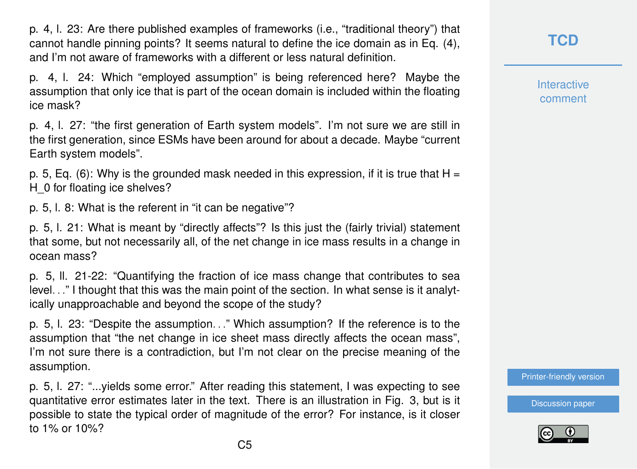p. 4, l. 23: Are there published examples of frameworks (i.e., "traditional theory") that cannot handle pinning points? It seems natural to define the ice domain as in Eq. (4), and I'm not aware of frameworks with a different or less natural definition.

p. 4, l. 24: Which "employed assumption" is being referenced here? Maybe the assumption that only ice that is part of the ocean domain is included within the floating ice mask?

p. 4, l. 27: "the first generation of Earth system models". I'm not sure we are still in the first generation, since ESMs have been around for about a decade. Maybe "current Earth system models".

p. 5, Eq. (6): Why is the grounded mask needed in this expression, if it is true that  $H =$ H 0 for floating ice shelves?

p. 5, l. 8: What is the referent in "it can be negative"?

p. 5, l. 21: What is meant by "directly affects"? Is this just the (fairly trivial) statement that some, but not necessarily all, of the net change in ice mass results in a change in ocean mass?

p. 5, ll. 21-22: "Quantifying the fraction of ice mass change that contributes to sea level. . ." I thought that this was the main point of the section. In what sense is it analytically unapproachable and beyond the scope of the study?

p. 5, l. 23: "Despite the assumption. . ." Which assumption? If the reference is to the assumption that "the net change in ice sheet mass directly affects the ocean mass", I'm not sure there is a contradiction, but I'm not clear on the precise meaning of the assumption.

p. 5, l. 27: "...yields some error." After reading this statement, I was expecting to see quantitative error estimates later in the text. There is an illustration in Fig. 3, but is it possible to state the typical order of magnitude of the error? For instance, is it closer to 1% or 10%?

**[TCD](https://www.the-cryosphere-discuss.net/)**

**Interactive** comment

[Printer-friendly version](https://www.the-cryosphere-discuss.net/tc-2020-23/tc-2020-23-RC2-print.pdf)

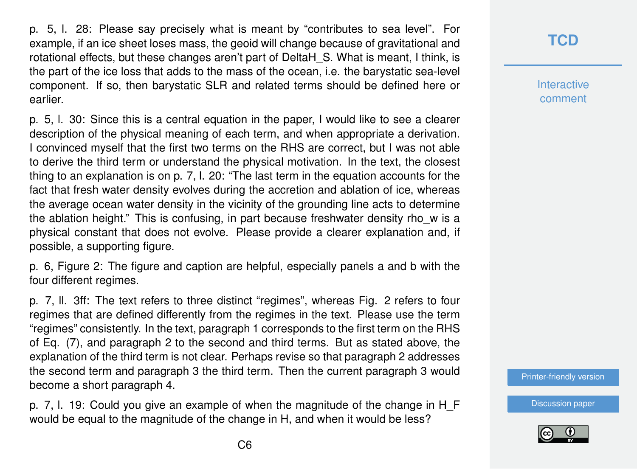p. 5, l. 28: Please say precisely what is meant by "contributes to sea level". For example, if an ice sheet loses mass, the geoid will change because of gravitational and rotational effects, but these changes aren't part of DeltaH\_S. What is meant, I think, is the part of the ice loss that adds to the mass of the ocean, i.e. the barystatic sea-level component. If so, then barystatic SLR and related terms should be defined here or earlier.

p. 5, l. 30: Since this is a central equation in the paper, I would like to see a clearer description of the physical meaning of each term, and when appropriate a derivation. I convinced myself that the first two terms on the RHS are correct, but I was not able to derive the third term or understand the physical motivation. In the text, the closest thing to an explanation is on p. 7, l. 20: "The last term in the equation accounts for the fact that fresh water density evolves during the accretion and ablation of ice, whereas the average ocean water density in the vicinity of the grounding line acts to determine the ablation height." This is confusing, in part because freshwater density rho\_w is a physical constant that does not evolve. Please provide a clearer explanation and, if possible, a supporting figure.

p. 6, Figure 2: The figure and caption are helpful, especially panels a and b with the four different regimes.

p. 7, ll. 3ff: The text refers to three distinct "regimes", whereas Fig. 2 refers to four regimes that are defined differently from the regimes in the text. Please use the term "regimes" consistently. In the text, paragraph 1 corresponds to the first term on the RHS of Eq. (7), and paragraph 2 to the second and third terms. But as stated above, the explanation of the third term is not clear. Perhaps revise so that paragraph 2 addresses the second term and paragraph 3 the third term. Then the current paragraph 3 would become a short paragraph 4.

p. 7, l. 19: Could you give an example of when the magnitude of the change in H\_F would be equal to the magnitude of the change in H, and when it would be less?

# **[TCD](https://www.the-cryosphere-discuss.net/)**

**Interactive** comment

[Printer-friendly version](https://www.the-cryosphere-discuss.net/tc-2020-23/tc-2020-23-RC2-print.pdf)

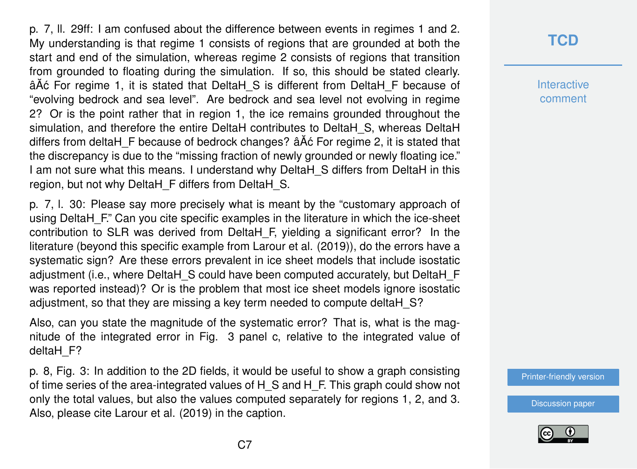p. 7, ll. 29ff: I am confused about the difference between events in regimes 1 and 2. My understanding is that regime 1 consists of regions that are grounded at both the start and end of the simulation, whereas regime 2 consists of regions that transition from grounded to floating during the simulation. If so, this should be stated clearly.  $\hat{A}$  $\hat{A}$  $\hat{C}$  For regime 1, it is stated that DeltaH  $\hat{S}$  is different from DeltaH  $\hat{F}$  because of "evolving bedrock and sea level". Are bedrock and sea level not evolving in regime 2? Or is the point rather that in region 1, the ice remains grounded throughout the simulation, and therefore the entire DeltaH contributes to DeltaH\_S, whereas DeltaH differs from deltaH F because of bedrock changes?  $\tilde{a}$ A $\tilde{c}$  For regime 2, it is stated that the discrepancy is due to the "missing fraction of newly grounded or newly floating ice." I am not sure what this means. I understand why DeltaH\_S differs from DeltaH in this region, but not why DeltaH\_F differs from DeltaH\_S.

p. 7, l. 30: Please say more precisely what is meant by the "customary approach of using DeltaH F." Can you cite specific examples in the literature in which the ice-sheet contribution to SLR was derived from DeltaH\_F, yielding a significant error? In the literature (beyond this specific example from Larour et al. (2019)), do the errors have a systematic sign? Are these errors prevalent in ice sheet models that include isostatic adjustment (i.e., where DeltaH\_S could have been computed accurately, but DeltaH\_F was reported instead)? Or is the problem that most ice sheet models ignore isostatic adjustment, so that they are missing a key term needed to compute deltaH\_S?

Also, can you state the magnitude of the systematic error? That is, what is the magnitude of the integrated error in Fig. 3 panel c, relative to the integrated value of deltaH F?

p. 8, Fig. 3: In addition to the 2D fields, it would be useful to show a graph consisting of time series of the area-integrated values of H\_S and H\_F. This graph could show not only the total values, but also the values computed separately for regions 1, 2, and 3. Also, please cite Larour et al. (2019) in the caption.

# **[TCD](https://www.the-cryosphere-discuss.net/)**

**Interactive** comment

[Printer-friendly version](https://www.the-cryosphere-discuss.net/tc-2020-23/tc-2020-23-RC2-print.pdf)

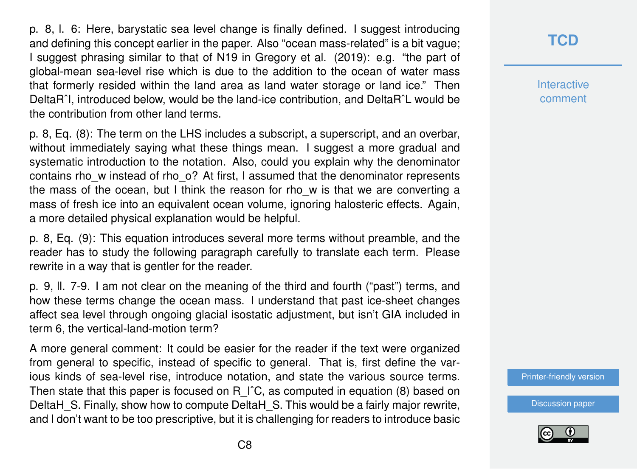p. 8, l. 6: Here, barystatic sea level change is finally defined. I suggest introducing and defining this concept earlier in the paper. Also "ocean mass-related" is a bit vague; I suggest phrasing similar to that of N19 in Gregory et al. (2019): e.g. "the part of global-mean sea-level rise which is due to the addition to the ocean of water mass that formerly resided within the land area as land water storage or land ice." Then DeltaRˆI, introduced below, would be the land-ice contribution, and DeltaRˆL would be the contribution from other land terms.

p. 8, Eq. (8): The term on the LHS includes a subscript, a superscript, and an overbar, without immediately saying what these things mean. I suggest a more gradual and systematic introduction to the notation. Also, could you explain why the denominator contains rho w instead of rho\_o? At first, I assumed that the denominator represents the mass of the ocean, but I think the reason for rho w is that we are converting a mass of fresh ice into an equivalent ocean volume, ignoring halosteric effects. Again, a more detailed physical explanation would be helpful.

p. 8, Eq. (9): This equation introduces several more terms without preamble, and the reader has to study the following paragraph carefully to translate each term. Please rewrite in a way that is gentler for the reader.

p. 9, ll. 7-9. I am not clear on the meaning of the third and fourth ("past") terms, and how these terms change the ocean mass. I understand that past ice-sheet changes affect sea level through ongoing glacial isostatic adjustment, but isn't GIA included in term 6, the vertical-land-motion term?

A more general comment: It could be easier for the reader if the text were organized from general to specific, instead of specific to general. That is, first define the various kinds of sea-level rise, introduce notation, and state the various source terms. Then state that this paper is focused on R I<sup>^</sup>C, as computed in equation (8) based on DeltaH S. Finally, show how to compute DeltaH S. This would be a fairly major rewrite, and I don't want to be too prescriptive, but it is challenging for readers to introduce basic

## **[TCD](https://www.the-cryosphere-discuss.net/)**

**Interactive** comment

[Printer-friendly version](https://www.the-cryosphere-discuss.net/tc-2020-23/tc-2020-23-RC2-print.pdf)

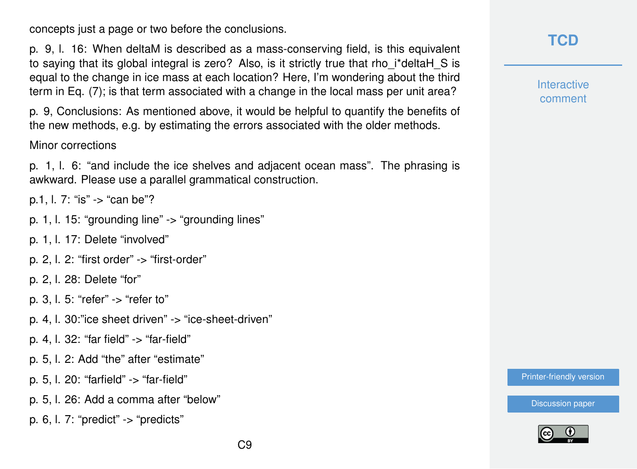concepts just a page or two before the conclusions.

p. 9, l. 16: When deltaM is described as a mass-conserving field, is this equivalent to saying that its global integral is zero? Also, is it strictly true that rho\_i\*deltaH\_S is equal to the change in ice mass at each location? Here, I'm wondering about the third term in Eq. (7); is that term associated with a change in the local mass per unit area?

p. 9, Conclusions: As mentioned above, it would be helpful to quantify the benefits of the new methods, e.g. by estimating the errors associated with the older methods.

#### Minor corrections

p. 1, l. 6: "and include the ice shelves and adjacent ocean mass". The phrasing is awkward. Please use a parallel grammatical construction.

p.1, l. 7: "is" -> "can be"?

- p. 1, l. 15: "grounding line" -> "grounding lines"
- p. 1, l. 17: Delete "involved"
- p. 2, l. 2: "first order" -> "first-order"
- p. 2, l. 28: Delete "for"
- p. 3, l. 5: "refer" -> "refer to"
- p. 4, l. 30:"ice sheet driven" -> "ice-sheet-driven"
- p. 4, l. 32: "far field" -> "far-field"
- p. 5, l. 2: Add "the" after "estimate"
- p. 5, l. 20: "farfield" -> "far-field"
- p. 5, l. 26: Add a comma after "below"
- p. 6, l. 7: "predict"  $\rightarrow$  "predicts"

**Interactive** comment

[Printer-friendly version](https://www.the-cryosphere-discuss.net/tc-2020-23/tc-2020-23-RC2-print.pdf)